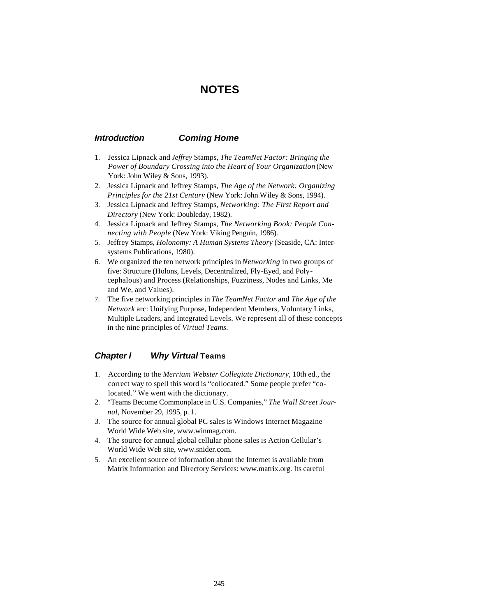# **NOTES**

## *Introduction Coming Home*

- 1. Jessica Lipnack and *Jeffrey* Stamps, *The TeamNet Factor: Bringing the Power of Boundary Crossing into the Heart of Your Organization* (New York: John Wiley & Sons, 1993).
- 2. Jessica Lipnack and Jeffrey Stamps, *The Age of the Network: Organizing Principles for the 21st Century* (New York: John Wiley & Sons, 1994).
- 3. Jessica Lipnack and Jeffrey Stamps, *Networking: The First Report and Directory* (New York: Doubleday, 1982).
- 4. Jessica Lipnack and Jeffrey Stamps, *The Networking Book: People Connecting with People* (New York: Viking Penguin, 1986).
- 5. Jeffrey Stamps, *Holonomy: A Human Systems Theory* (Seaside, CA: Intersystems Publications, 1980).
- 6. We organized the ten network principles in *Networking* in two groups of five: Structure (Holons, Levels, Decentralized, Fly-Eyed, and Polycephalous) and Process (Relationships, Fuzziness, Nodes and Links, Me and We, and Values).
- 7. The five networking principles in *The TeamNet Factor* and *The Age of the Network* arc: Unifying Purpose, Independent Members, Voluntary Links, Multiple Leaders, and Integrated Levels. We represent all of these concepts in the nine principles of *Virtual Teams.*

## *Chapter I Why Virtual Teams*

- 1. According to the *Merriam Webster Collegiate Dictionary,* 10th ed., the correct way to spell this word is "collocated." Some people prefer "colocated." We went with the dictionary.
- 2. "Teams Become Commonplace in U.S. Companies," *The Wall Street Journal,* November 29, 1995, p. 1.
- 3. The source for annual global PC sales is Windows Internet Magazine World Wide Web site, www.winmag.com.
- 4. The source for annual global cellular phone sales is Action Cellular's World Wide Web site, www.snider.com.
- 5. An excellent source of information about the Internet is available from Matrix Information and Directory Services: www.matrix.org. Its careful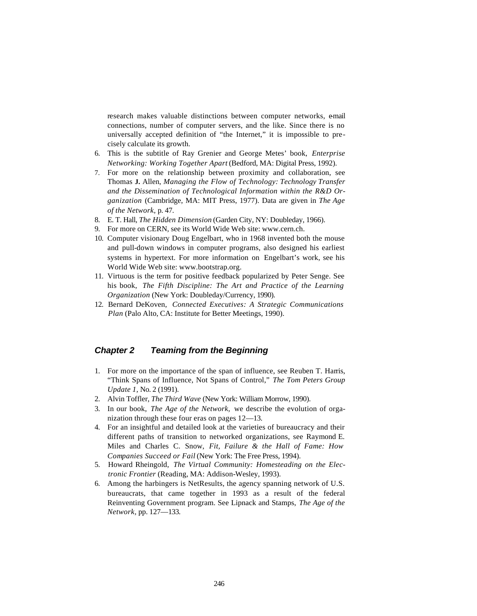research makes valuable distinctions between computer networks, email connections, number of computer servers, and the like. Since there is no universally accepted definition of "the Internet," it is impossible to precisely calculate its growth.

- 6. This is the subtitle of Ray Grenier and George Metes' book, *Enterprise Networking: Working Together Apart* (Bedford, MA: Digital Press, 1992).
- 7. For more on the relationship between proximity and collaboration, see Thomas **J.** Allen, *Managing the Flow of Technology: Technology Transfer and the Dissemination of Technological Information within the R&D Organization* (Cambridge, MA: MIT Press, 1977). Data are given in *The Age of the Network,* p. 47.
- 8. E. T. Hall, *The Hidden Dimension* (Garden City, NY: Doubleday, 1966).
- 9. For more on CERN, see its World Wide Web site: www.cern.ch.
- 10. Computer visionary Doug Engelbart, who in 1968 invented both the mouse and pull-down windows in computer programs, also designed his earliest systems in hypertext. For more information on Engelbart's work, see his World Wide Web site: www.bootstrap.org.
- 11. Virtuous is the term for positive feedback popularized by Peter Senge. See his book, *The Fifth Discipline: The Art and Practice of the Learning Organization* (New York: Doubleday/Currency, 1990).
- 12. Bernard DeKoven, *Connected Executives: A Strategic Communications Plan* (Palo Alto, CA: Institute for Better Meetings, 1990).

### *Chapter 2 Teaming from the Beginning*

- 1. For more on the importance of the span of influence, see Reuben T. Harris, "Think Spans of Influence, Not Spans of Control," *The Tom Peters Group Update 1,* No. 2 (1991).
- 2. Alvin Toffler, *The Third Wave* (New York: William Morrow, 1990).
- 3. In our book, *The Age of the Network,* we describe the evolution of organization through these four eras on pages 12—13.
- 4. For an insightful and detailed look at the varieties of bureaucracy and their different paths of transition to networked organizations, see Raymond E. Miles and Charles C. Snow, *Fit, Failure & the Hall of Fame: How Companies Succeed or Fail* (New York: The Free Press, 1994).
- 5. Howard Rheingold, *The Virtual Community: Homesteading on the Electronic Frontier* (Reading, MA: Addison-Wesley, 1993).
- 6. Among the harbingers is NetResults, the agency spanning network of U.S. bureaucrats, that came together in 1993 as a result of the federal Reinventing Government program. See Lipnack and Stamps, *The Age of the Network,* pp. 127—133.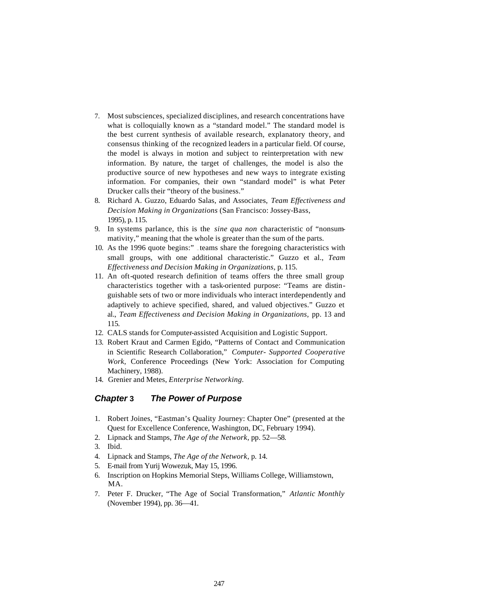- 7. Most subsciences, specialized disciplines, and research concentrations have what is colloquially known as a "standard model." The standard model is the best current synthesis of available research, explanatory theory, and consensus thinking of the recognized leaders in a particular field. Of course, the model is always in motion and subject to reinterpretation with new information. By nature, the target of challenges, the model is also the productive source of new hypotheses and new ways to integrate existing information. For companies, their own "standard model" is what Peter Drucker calls their "theory of the business."
- 8. Richard A. Guzzo, Eduardo Salas, and Associates, *Team Effectiveness and Decision Making in Organizations* (San Francisco: Jossey-Bass, 1995), p. 115.
- 9. In systems parlance, this is the *sine qua non* characteristic of "nonsummativity," meaning that the whole is greater than the sum of the parts.
- 10. As the 1996 quote begins:" teams share the foregoing characteristics with small groups, with one additional characteristic." Guzzo et al., *Team Effectiveness and Decision Making in Organizations,* p. 115.
- 11. An oft-quoted research definition of teams offers the three small group characteristics together with a task-oriented purpose: "Teams are distinguishable sets of two or more individuals who interact interdependently and adaptively to achieve specified, shared, and valued objectives." Guzzo et al., *Team Effectiveness and Decision Making in Organizations,* pp. 13 and 115.
- 12. CALS stands for Computer-assisted Acquisition and Logistic Support.
- 13. Robert Kraut and Carmen Egido, "Patterns of Contact and Communication in Scientific Research Collaboration," *Computer- Supported Cooperative Work,* Conference Proceedings (New York: Association for Computing Machinery, 1988).
- 14. Grenier and Metes, *Enterprise Networking.*

#### *Chapter* **3** *The Power of Purpose*

- 1. Robert Joines, "Eastman's Quality Journey: Chapter One" (presented at the Quest for Excellence Conference, Washington, DC, February 1994).
- 2. Lipnack and Stamps, *The Age of the Network,* pp. 52—58.
- 3. Ibid.
- 4. Lipnack and Stamps, *The Age of the Network,* p. 14.
- 5. E-mail from Yurij Wowezuk, May 15, 1996.
- 6. Inscription on Hopkins Memorial Steps, Williams College, Williamstown, MA.
- 7. Peter F. Drucker, "The Age of Social Transformation," *Atlantic Monthly*  (November 1994), pp. 36—41.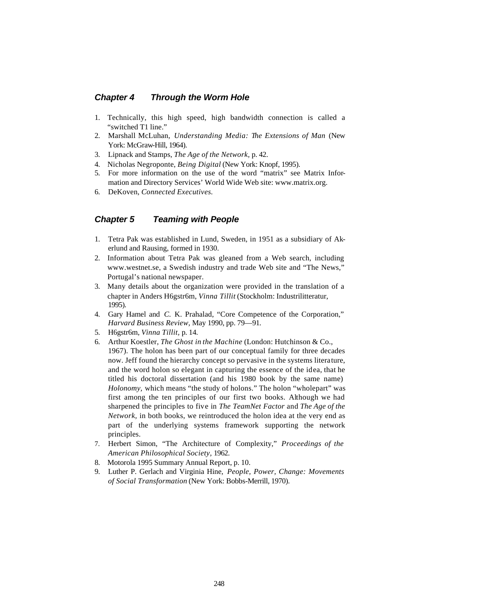#### *Chapter 4 Through the Worm Hole*

- 1. Technically, this high speed, high bandwidth connection is called a "switched T1 line."
- 2. Marshall McLuhan, *Understanding Media: The Extensions of Man* (New York: McGraw-Hill, 1964).
- 3. Lipnack and Stamps, *The Age of the Network,* p. 42.
- 4. Nicholas Negroponte, *Being Digital* (New York: Knopf, 1995).
- 5. For more information on the use of the word "matrix" see Matrix Information and Directory Services' World Wide Web site: www.matrix.org.
- 6. DeKoven, *Connected Executives.*

### *Chapter 5 Teaming with People*

- 1. Tetra Pak was established in Lund, Sweden, in 1951 as a subsidiary of Akerlund and Rausing, formed in 1930.
- 2. Information about Tetra Pak was gleaned from a Web search, including www.westnet.se, a Swedish industry and trade Web site and "The News," Portugal's national newspaper.
- 3. Many details about the organization were provided in the translation of a chapter in Anders H6gstr6m, *Vinna Tillit* (Stockholm: Industrilitteratur, 1995).
- 4. Gary Hamel and *C.* K. Prahalad, "Core Competence of the Corporation," *Harvard Business Review,* May 1990, pp. 79—91.
- 5. H6gstr6m, *Vinna Tillit,* p. 14.
- 6. Arthur Koestler, *The Ghost in the Machine* (London: Hutchinson & Co., 1967). The holon has been part of our conceptual family for three decades now. Jeff found the hierarchy concept so pervasive in the systems literature, and the word holon so elegant in capturing the essence of the idea, that he titled his doctoral dissertation (and his 1980 book by the same name) *Holonomy,* which means "the study of holons." The holon "wholepart" was first among the ten principles of our first two books. Although we had sharpened the principles to five in *The TeamNet Factor* and *The Age of the Network,* in both books, we reintroduced the holon idea at the very end as part of the underlying systems framework supporting the network principles.
- 7. Herbert Simon, "The Architecture of Complexity," *Proceedings of the American Philosophical Society,* 1962.
- 8. Motorola 1995 Summary Annual Report, p. 10.
- 9. Luther P. Gerlach and Virginia Hine, *People, Power, Change: Movements of Social Transformation* (New York: Bobbs-Merrill, 1970).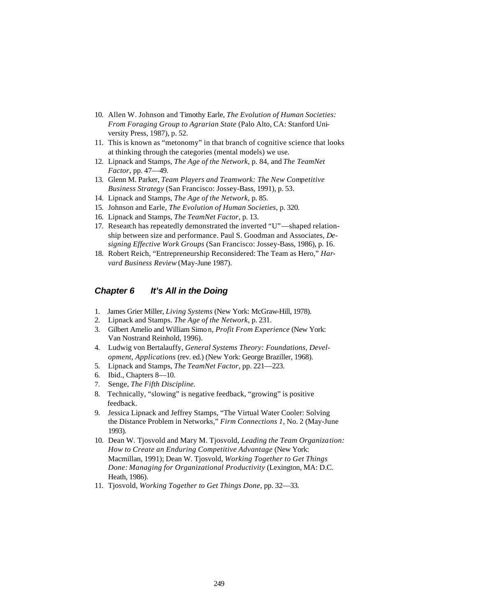- 10. Allen W. Johnson and Timothy Earle, *The Evolution of Human Societies: From Foraging Group to Agrarian State* (Palo Alto, CA: Stanford University Press, 1987), p. 52.
- 11. This is known as "metonomy" in that branch of cognitive science that looks at thinking through the categories (mental models) we use.
- 12. Lipnack and Stamps, *The Age of the Network,* p. 84, and *The TeamNet Factor,* pp. 47—49.
- 13. Glenn M. Parker, *Team Players and Teamwork: The New Competitive Business Strategy* (San Francisco: Jossey-Bass, 1991), p. 53.
- 14. Lipnack and Stamps, *The Age of the Network,* p. 85.
- 15. Johnson and Earle, *The Evolution of Human Societies,* p. 320.
- 16. Lipnack and Stamps, *The TeamNet Factor,* p. 13.
- 17. Research has repeatedly demonstrated the inverted "U"—shaped relationship between size and performance. Paul S. Goodman and Associates, *Designing Effective Work Groups* (San Francisco: Jossey-Bass, 1986), p. 16.
- 18. Robert Reich, "Entrepreneurship Reconsidered: The Team as Hero," *Harvard Business Review* (May-June 1987).

## *Chapter 6 It's All in the Doing*

- 1. James Grier Miller, *Living Systems* (New York: McGraw-Hill, 1978).
- 2. Lipnack and Stamps. *The Age of the Network,* p. 231.
- 3. Gilbert Amelio and William Simo n, *Profit From Experience* (New York: Van Nostrand Reinhold, 1996).
- 4. Ludwig von Bertalauffy, *General Systems Theory: Foundations, Development, Applications* (rev. ed.) (New York: George Braziller, 1968).
- 5. Lipnack and Stamps, *The TeamNet Factor,* pp. 221—223.
- 6. Ibid., Chapters 8—10.
- 7. Senge, *The Fifth Discipline.*
- 8. Technically, "slowing" is negative feedback, "growing" is positive feedback.
- 9. Jessica Lipnack and Jeffrey Stamps, "The Virtual Water Cooler: Solving the Distance Problem in Networks," *Firm Connections 1,* No. 2 (May-June 1993).
- 10. Dean W. Tjosvold and Mary M. Tjosvold, *Leading the Team Organization: How to Create an Enduring Competitive Advantage* (New York: Macmillan, 1991); Dean W. Tjosvold, *Working Together to Get Things Done: Managing for Organizational Productivity* (Lexington, MA: D.C. Heath, 1986).
- 11. Tjosvold, *Working Together to Get Things Done,* pp. 32—33.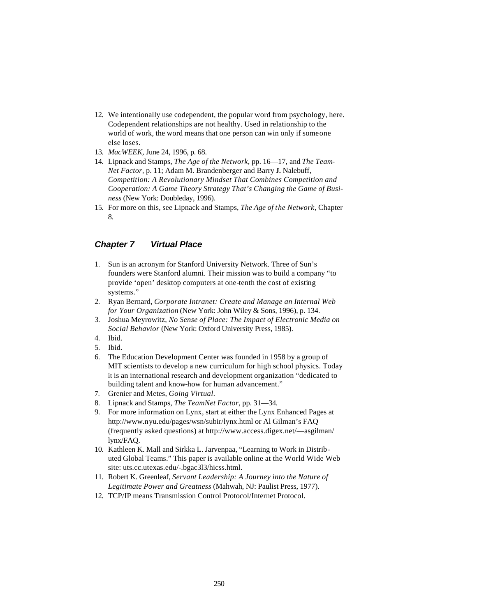- 12. We intentionally use codependent, the popular word from psychology, here. Codependent relationships are not healthy. Used in relationship to the world of work, the word means that one person can win only if someone else loses.
- 13. *MacWEEK,* June 24, 1996, p. 68.
- 14. Lipnack and Stamps, *The Age of the Network,* pp. 16—17, and *The Team-Net Factor,* p. 11; Adam M. Brandenberger and Barry **J.** Nalebuff, *Competition: A Revolutionary Mindset That Combines Competition and Cooperation: A Game Theory Strategy That's Changing the Game of Business* (New York: Doubleday, 1996).
- 15. For more on this, see Lipnack and Stamps, *The Age of the Network,* Chapter 8.

## *Chapter 7 Virtual Place*

- 1. Sun is an acronym for Stanford University Network. Three of Sun's founders were Stanford alumni. Their mission was to build a company "to provide 'open' desktop computers at one-tenth the cost of existing systems."
- 2. Ryan Bernard, *Corporate Intranet: Create and Manage an Internal Web for Your Organization* (New York: John Wiley & Sons, 1996), p. 134.
- 3. Joshua Meyrowitz, *No Sense of Place: The Impact of Electronic Media on Social Behavior* (New York: Oxford University Press, 1985).
- 4. Ibid.
- 5. Ibid.
- 6. The Education Development Center was founded in 1958 by a group of MIT scientists to develop a new curriculum for high school physics. Today it is an international research and development organization "dedicated to building talent and know-how for human advancement."
- 7. Grenier and Metes, *Going Virtual.*
- 8. Lipnack and Stamps, *The TeamNet Factor,* pp. 31—34.
- 9. For more information on Lynx, start at either the Lynx Enhanced Pages at http://www.nyu.edu/pages/wsn/subir/lynx.html or Al Gilman's FAQ (frequently asked questions) at http://www.access.digex.net/—asgilman/ lynx/FAQ.
- 10. Kathleen K. Mall and Sirkka L. Jarvenpaa, "Learning to Work in Distributed Global Teams." This paper is available online at the World Wide Web site: uts.cc.utexas.edu/-.bgac3l3/hicss.html.
- 11. Robert K. Greenleaf, *Servant Leadership: A Journey into the Nature of Legitimate Power and Greatness* (Mahwah, NJ: Paulist Press, 1977).
- 12. TCP/IP means Transmission Control Protocol/Internet Protocol.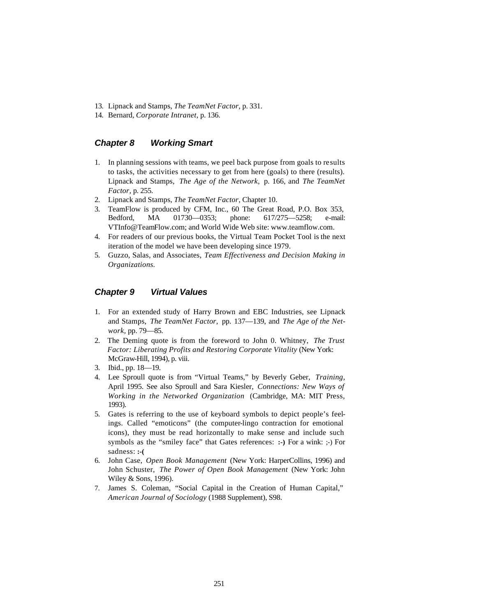- 13. Lipnack and Stamps, *The TeamNet Factor,* p. 331.
- 14. Bernard, *Corporate Intranet,* p. 136.

## *Chapter 8 Working Smart*

- 1. In planning sessions with teams, we peel back purpose from goals to results to tasks, the activities necessary to get from here (goals) to there (results). Lipnack and Stamps, *The Age of the Network,* p. 166, and *The TeamNet Factor,* p. 255.
- 2. Lipnack and Stamps, *The TeamNet Factor,* Chapter 10.
- 3. TeamFlow is produced by CFM, Inc., 60 The Great Road, P.O. Box 353, Bedford, MA 01730—0353; phone: 617/275—5258; e-mail: VTInfo@TeamFlow.com; and World Wide Web site: www.teamflow.com.
- 4. For readers of our previous books, the Virtual Team Pocket Tool is the next iteration of the model we have been developing since 1979.
- 5. Guzzo, Salas, and Associates, *Team Effectiveness and Decision Making in Organizations.*

## *Chapter 9 Virtual Values*

- 1. For an extended study of Harry Brown and EBC Industries, see Lipnack and Stamps, *The TeamNet Factor,* pp. 137—139, and *The Age of the Network,* pp. 79—85.
- 2. The Deming quote is from the foreword to John 0. Whitney, *The Trust Factor: Liberating Profits and Restoring Corporate Vitality* (New York: McGraw-Hill, 1994), p. viii.
- 3. Ibid., pp. 18—19.
- 4. Lee Sproull quote is from "Virtual Teams," by Beverly Geber, *Training,*  April 1995. See also Sproull and Sara Kiesler, *Connections: New Ways of Working in the Networked Organization* (Cambridge, MA: MIT Press, 1993).
- 5. Gates is referring to the use of keyboard symbols to depict people's feelings. Called "emoticons" (the computer-lingo contraction for emotional icons), they must be read horizontally to make sense and include such symbols as the "smiley face" that Gates references: **:-)** For a wink: ;-) For sadness: **:-(**
- 6. John Case, *Open Book Management* (New York: HarperCollins, 1996) and John Schuster, *The Power of Open Book Management* (New York: John Wiley & Sons, 1996).
- 7. James S. Coleman, "Social Capital in the Creation of Human Capital," *American Journal of Sociology* (1988 Supplement), S98.